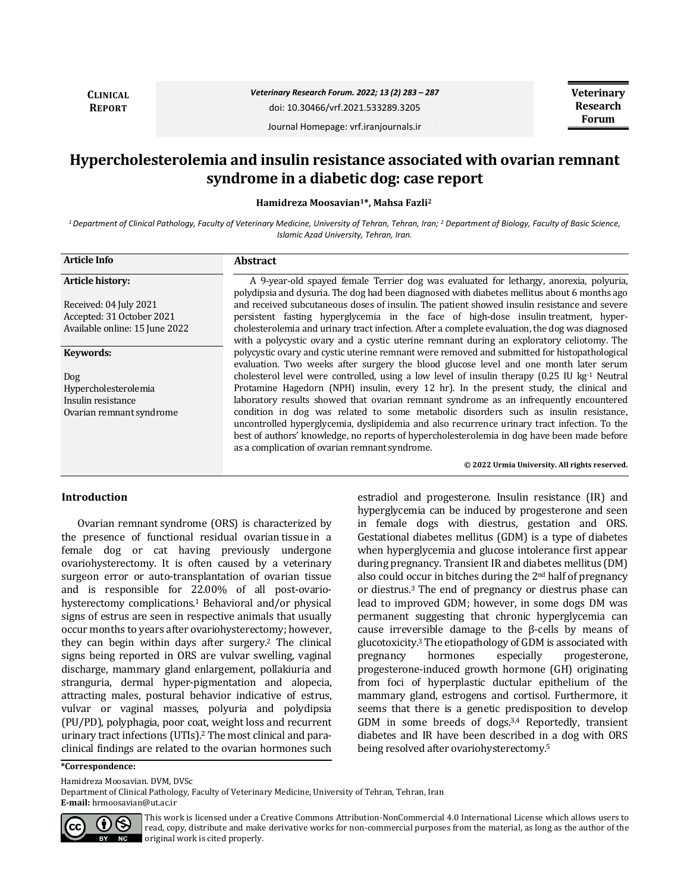**CLINICAL REPORT**

# *Veterinary Research Forum. 2022; 13 (2) 283 – 287*

doi: 10.30466/vrf.2021.533289.3205

**Veterinary Research Forum**

Journal Homepage: vrf.iranjournals.ir

# **Hypercholesterolemia and insulin resistance associated with ovarian remnant syndrome in a diabetic dog: case report**

**Hamidreza Moosavian1\*, Mahsa Fazli<sup>2</sup>**

*<sup>1</sup>Department of Clinical Pathology, Faculty of Veterinary Medicine, University of Tehran, Tehran, Iran; <sup>2</sup> Department of Biology, Faculty of Basic Science, Islamic Azad University, Tehran, Iran.*

| <b>Article Info</b>            | <b>Abstract</b>                                                                                                                                                                                                                                                                                                                       |
|--------------------------------|---------------------------------------------------------------------------------------------------------------------------------------------------------------------------------------------------------------------------------------------------------------------------------------------------------------------------------------|
| Article history:               | A 9-year-old spayed female Terrier dog was evaluated for lethargy, anorexia, polyuria,<br>polydipsia and dysuria. The dog had been diagnosed with diabetes mellitus about 6 months ago                                                                                                                                                |
| Received: 04 July 2021         | and received subcutaneous doses of insulin. The patient showed insulin resistance and severe                                                                                                                                                                                                                                          |
| Accepted: 31 October 2021      | persistent fasting hyperglycemia in the face of high-dose insulint reatment, hyper-                                                                                                                                                                                                                                                   |
| Available online: 15 June 2022 | cholesterolemia and urinary tract infection. After a complete evaluation, the dog was diagnosed<br>with a polycystic ovary and a cystic uterine remnant during an exploratory celiotomy. The                                                                                                                                          |
| Keywords:                      | polycystic ovary and cystic uterine remnant were removed and submitted for histopathological<br>evaluation. Two weeks after surgery the blood glucose level and one month later serum                                                                                                                                                 |
| Dog                            | cholesterol level were controlled, using a low level of insulin therapy $(0.25 \text{ IU kg}^{-1}$ Neutral                                                                                                                                                                                                                            |
| Hypercholesterolemia           | Protamine Hagedorn (NPH) insulin, every 12 hr). In the present study, the clinical and                                                                                                                                                                                                                                                |
| Insulin resistance             | laboratory results showed that ovarian remnant syndrome as an infrequently encountered                                                                                                                                                                                                                                                |
| Ovarian remnant syndrome       | condition in dog was related to some metabolic disorders such as insulin resistance,<br>uncontrolled hyperglycemia, dyslipidemia and also recurrence urinary tract infection. To the<br>best of authors' knowledge, no reports of hypercholesterolemia in dog have been made before<br>as a complication of ovarian remnant syndrome. |
|                                | © 2022 Urmia University. All rights reserved.                                                                                                                                                                                                                                                                                         |

#### **Introduction**

Ovarian remnant syndrome (ORS) is characterized by the presence of functional residual ovarian tissue in a female dog or cat having previously undergone ovariohysterectomy. It is often caused by a veterinary surgeon error or auto-transplantation of ovarian tissue and is responsible for 22.00% of all post-ovariohysterectomy complications.<sup>1</sup> Behavioral and/or physical signs of estrus are seen in respective animals that usually occur months to years after ovariohysterectomy; however, they can begin within days after surgery.<sup>2</sup> The clinical signs being reported in ORS are vulvar swelling, vaginal discharge, mammary gland enlargement, pollakiuria and stranguria, dermal hyper-pigmentation and alopecia, attracting males, postural behavior indicative of estrus, vulvar or vaginal masses, polyuria and polydipsia (PU/PD), polyphagia, poor coat, weight loss and recurrent urinary tract infections (UTIs).<sup>2</sup> The most clinical and paraclinical findings are related to the ovarian hormones such estradiol and progesterone. Insulin resistance (IR) and hyperglycemia can be induced by progesterone and seen in female dogs with diestrus, gestation and ORS. Gestational diabetes mellitus (GDM) is a type of diabetes when hyperglycemia and glucose intolerance first appear during pregnancy. Transient IR and diabetes mellitus (DM) also could occur in bitches during the 2nd half of pregnancy or diestrus.<sup>3</sup> The end of pregnancy or diestrus phase can lead to improved GDM; however, in some dogs DM was permanent suggesting that chronic hyperglycemia can cause irreversible damage to the β-cells by means of glucotoxicity.<sup>3</sup> The etiopathology of GDM is associated with pregnancy hormones especially progesterone, progesterone-induced growth hormone (GH) originating from foci of hyperplastic ductular epithelium of the mammary gland, estrogens and cortisol. Furthermore, it seems that there is a genetic predisposition to develop GDM in some breeds of dogs.3,4 Reportedly, transient diabetes and IR have been described in a dog with ORS being resolved after ovariohysterectomy.<sup>5</sup>

**\*Correspondence:**

Hamidreza Moosavian. DVM, DVSc

Department of Clinical Pathology, Faculty of Veterinary Medicine, University of Tehran, Tehran, Iran

**E-mail:** hrmoosavian@ut.ac.ir



This work is licensed under a [Creative Commons Attribution-NonCommercial 4.0 International License](http://creativecommons.org/licenses/by-nc/4.0/) which allows users to read, copy, distribute and make derivative works for non-commercial purposes from the material, as long as the author of the original work is cited properly.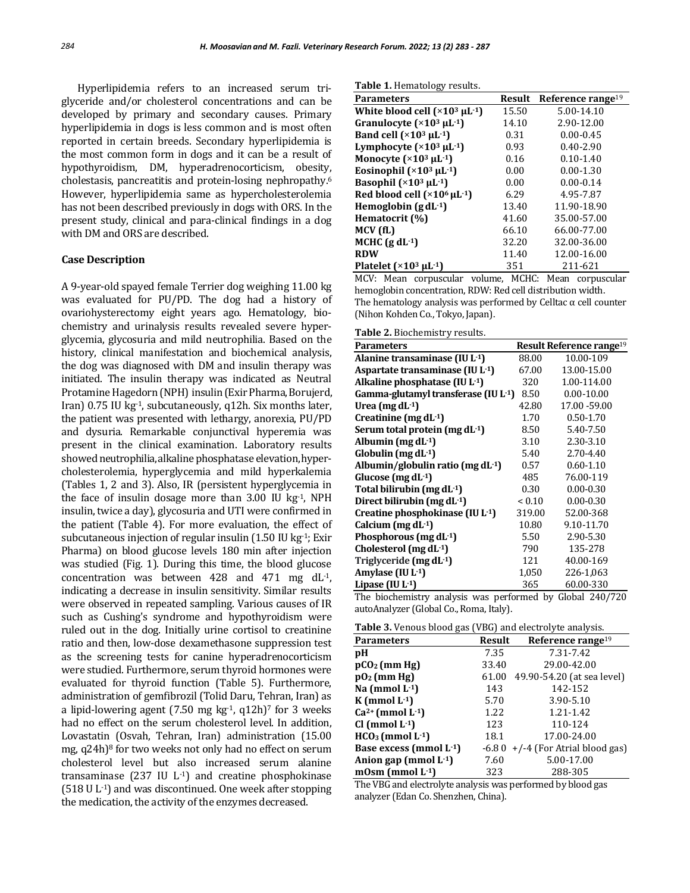Hyperlipidemia refers to an increased serum triglyceride and/or cholesterol concentrations and can be developed by primary and secondary causes. Primary hyperlipidemia in dogs is less common and is most often reported in certain breeds. Secondary hyperlipidemia is the most common form in dogs and it can be a result of hypothyroidism, DM, hyperadrenocorticism, obesity, cholestasis, pancreatitis and protein-losing nephropathy.<sup>6</sup> However, hyperlipidemia same as hypercholesterolemia has not been described previously in dogs with ORS. In the present study, clinical and para-clinical findings in a dog with DM and ORS are described.

# **Case Description**

A 9-year-old spayed female Terrier dog weighing 11.00 kg was evaluated for PU/PD. The dog had a history of ovariohysterectomy eight years ago. Hematology, biochemistry and urinalysis results revealed severe hyperglycemia, glycosuria and mild neutrophilia. Based on the history, clinical manifestation and biochemical analysis, the dog was diagnosed with DM and insulin therapy was initiated. The insulin therapy was indicated as Neutral Protamine Hagedorn (NPH) insulin (Exir Pharma, Borujerd, Iran) 0.75 IU kg-1, subcutaneously, q12h. Six months later, the patient was presented with lethargy, anorexia, PU/PD and dysuria. Remarkable conjunctival hyperemia was present in the clinical examination. Laboratory results showed neutrophilia, alkaline phosphatase elevation, hypercholesterolemia, hyperglycemia and mild hyperkalemia (Tables 1, 2 and 3). Also, IR (persistent hyperglycemia in the face of insulin dosage more than  $3.00$  IU kg $^{-1}$ , NPH insulin, twice a day), glycosuria and UTI were confirmed in the patient (Table 4). For more evaluation, the effect of subcutaneous injection of regular insulin  $(1.50 \text{ IU kg}^{-1})$ ; Exir Pharma) on blood glucose levels 180 min after injection was studied (Fig. 1). During this time, the blood glucose concentration was between 428 and 471 mg dL-1, indicating a decrease in insulin sensitivity. Similar results were observed in repeated sampling. Various causes of IR such as Cushing's syndrome and hypothyroidism were ruled out in the dog. Initially urine cortisol to creatinine ratio and then, low-dose dexamethasone suppression test as the screening tests for canine hyperadrenocorticism were studied. Furthermore, serum thyroid hormones were evaluated for thyroid function (Table 5). Furthermore, administration of gemfibrozil (Tolid Daru, Tehran, Iran) as a lipid-lowering agent (7.50 mg  $kg<sup>1</sup>$ , q12h)<sup>7</sup> for 3 weeks had no effect on the serum cholesterol level. In addition, Lovastatin (Osvah, Tehran, Iran) administration (15.00 mg, q24h) <sup>8</sup> for two weeks not only had no effect on serum cholesterol level but also increased serum alanine transaminase (237 IU L-1) and creatine phosphokinase (518 U L-1) and was discontinued. One week after stopping the medication, the activity of the enzymes decreased.

**Table 1.** Hematology results.

| رن -<br><b>Parameters</b>                          | Result | Reference range <sup>19</sup> |
|----------------------------------------------------|--------|-------------------------------|
| White blood cell $(\times 10^3 \mu L^{-1})$        | 15.50  | 5.00-14.10                    |
| Granulocyte $(x10^3 \mu L^{-1})$                   | 14.10  | 2.90-12.00                    |
| Band cell $(\times 10^3 \mu L^{-1})$               | 0.31   | $0.00 - 0.45$                 |
| Lymphocyte $(*103 \mu L^{-1})$                     | 0.93   | $0.40 - 2.90$                 |
| Monocyte $(\times 10^3 \mu L^{-1})$                | 0.16   | $0.10 - 1.40$                 |
| Eosinophil $(\times 10^3 \mu L^{-1})$              | 0.00   | $0.00 - 1.30$                 |
| Basophil $(\times 10^3 \mu L^{-1})$                | 0.00   | $0.00 - 0.14$                 |
| Red blood cell $({\times}10^6 \,\mu\text{L}^{-1})$ | 6.29   | 4.95-7.87                     |
| Hemoglobin $\left(\text{gd}L^{-1}\right)$          | 13.40  | 11.90-18.90                   |
| Hematocrit (%)                                     | 41.60  | 35.00-57.00                   |
| MCV (fL)                                           | 66.10  | 66.00-77.00                   |
| MCHC $(g dL^{-1})$                                 | 32.20  | 32.00-36.00                   |
| <b>RDW</b>                                         | 11.40  | 12.00-16.00                   |
| Platelet $(\times 10^3 \mu L^{-1})$                | 351    | 211-621                       |

MCV: Mean corpuscular volume, MCHC: Mean corpuscular hemoglobin concentration, RDW: Red cell distribution width. The hematology analysis was performed by Celltac  $\alpha$  cell counter (Nihon Kohden Co., Tokyo, Japan).

|  | <b>Table 2.</b> Biochemistry results. |  |
|--|---------------------------------------|--|

| <b>Parameters</b>                    |        | <b>Result Reference range<sup>19</sup></b> |
|--------------------------------------|--------|--------------------------------------------|
| Alanine transaminase (IU L-1)        | 88.00  | 10.00-109                                  |
| Aspartate transaminase (IU L-1)      | 67.00  | 13.00-15.00                                |
| Alkaline phosphatase (IU L-1)        | 320    | 1.00-114.00                                |
| Gamma-glutamyl transferase (IU L-1)  | 8.50   | $0.00 - 10.00$                             |
| Urea (mg dL $-1$ )                   | 42.80  | 17.00 - 59.00                              |
| Creatinine (mg $dL^{-1}$ )           | 1.70   | $0.50 - 1.70$                              |
| Serum total protein (mg dL-1)        | 8.50   | 5.40-7.50                                  |
| Albumin (mg $dL^{-1}$ )              | 3.10   | 2.30-3.10                                  |
| Globulin (mg $dL^{-1}$ )             | 5.40   | 2.70-4.40                                  |
| Albumin/globulin ratio (mg dL $-1$ ) | 0.57   | $0.60 - 1.10$                              |
| Glucose (mg dL $-1$ )                | 485    | 76.00-119                                  |
| Total bilirubin (mg dL-1)            | 0.30   | $0.00 - 0.30$                              |
| Direct bilirubin (mg dL-1)           | < 0.10 | $0.00 - 0.30$                              |
| Creatine phosphokinase (IU L-1)      | 319.00 | 52.00-368                                  |
| Calcium (mg $dL^{-1}$ )              | 10.80  | 9.10-11.70                                 |
| Phosphorous (mg dL-1)                | 5.50   | 2.90-5.30                                  |
| Cholesterol (mg $dL^{-1}$ )          | 790    | 135-278                                    |
| Triglyceride (mg dL-1)               | 121    | 40.00-169                                  |
| Amylase (IU L-1)                     | 1,050  | 226-1,063                                  |
| Lipase (IU L-1)                      | 365    | 60.00-330                                  |
|                                      |        |                                            |

The biochemistry analysis was performed by Global 240/720 autoAnalyzer (Global Co., Roma, Italy).

**Table 3.** Venous blood gas (VBG) and electrolyte analysis.

| <b>Parameters</b>              | <b>Result</b> | Reference range $19$                |
|--------------------------------|---------------|-------------------------------------|
| pH                             | 7.35          | 7.31-7.42                           |
| $pCO2$ (mm Hg)                 | 33.40         | 29.00-42.00                         |
| $pO2$ (mm Hg)                  | 61.00         | 49.90-54.20 (at sea level)          |
| Na (mmol $L^{-1}$ )            | 143           | 142-152                             |
| K (mmol $L^{-1}$ )             | 5.70          | 3.90-5.10                           |
| $Ca^{2+}$ (mmol L $-1$ )       | 1.22          | 1.21-1.42                           |
| $Cl (mmol L-1)$                | 123           | 110-124                             |
| $HCO3$ (mmol L <sup>-1</sup> ) | 18.1          | 17.00-24.00                         |
| Base excess (mmol L-1)         |               | $-6.80$ +/-4 (For Atrial blood gas) |
| Anion gap (mmol $L^{-1}$ )     | 7.60          | 5.00-17.00                          |
| mOsm (mmol $L^{-1}$ )          | 323           | 288-305                             |

The VBG and electrolyte analysis was performed by blood gas analyzer (Edan Co. Shenzhen, China).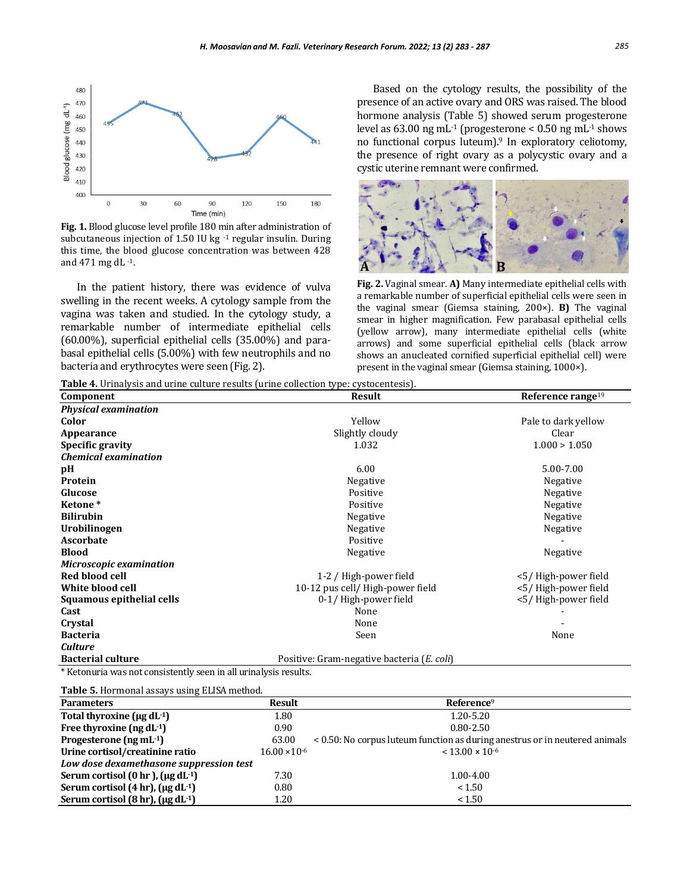

**Fig. 1.** Blood glucose level profile 180 min after administration of subcutaneous injection of 1.50 IU kg -1 regular insulin. During this time, the blood glucose concentration was between 428 and 471 mg dL -1.

In the patient history, there was evidence of vulva swelling in the recent weeks. A cytology sample from the vagina was taken and studied. In the cytology study, a remarkable number of intermediate epithelial cells (60.00%), superficial epithelial cells (35.00%) and parabasal epithelial cells (5.00%) with few neutrophils and no bacteria and erythrocytes were seen (Fig. 2).

Based on the cytology results, the possibility of the presence of an active ovary and ORS was raised. The blood hormone analysis (Table 5) showed serum progesterone level as 63.00 ng mL-1 (progesterone < 0.50 ng mL-1 shows no functional corpus luteum).<sup>9</sup> In exploratory celiotomy, the presence of right ovary as a polycystic ovary and a cystic uterine remnant were confirmed.



**Fig. 2.** Vaginal smear. **A)** Many intermediate epithelial cells with a remarkable number of superficial epithelial cells were seen in the vaginal smear (Giemsa staining, 200×). **B)** The vaginal smear in higher magnification. Few parabasal epithelial cells (yellow arrow), many intermediate epithelial cells (white arrows) and some superficial epithelial cells (black arrow shows an anucleated cornified superficial epithelial cell) were present in the vaginal smear (Giemsa staining, 1000×).

**Table 4.** Urinalysis and urine culture results (urine collection type: cystocentesis).

| Component                   | Result                                     | Reference range <sup>19</sup> |
|-----------------------------|--------------------------------------------|-------------------------------|
| <b>Physical examination</b> |                                            |                               |
| Color                       | Yellow                                     | Pale to dark yellow           |
| Appearance                  | Slightly cloudy                            | Clear                         |
| Specific gravity            | 1.032                                      | 1.000 > 1.050                 |
| <b>Chemical examination</b> |                                            |                               |
| pН                          | 6.00                                       | 5.00-7.00                     |
| Protein                     | Negative                                   | Negative                      |
| Glucose                     | Positive                                   | Negative                      |
| Ketone <sup>*</sup>         | Positive                                   | Negative                      |
| <b>Bilirubin</b>            | Negative                                   | Negative                      |
| Urobilinogen                | Negative                                   | Negative                      |
| <b>Ascorbate</b>            | Positive                                   |                               |
| <b>Blood</b>                | Negative                                   | Negative                      |
| Microscopic examination     |                                            |                               |
| Red blood cell              | 1-2 / High-power field                     | <5/High-power field           |
| White blood cell            | 10-12 pus cell/ High-power field           | <5/High-power field           |
| Squamous epithelial cells   | 0-1/High-power field                       | <5/High-power field           |
| Cast                        | None                                       |                               |
| Crystal                     | None                                       |                               |
| <b>Bacteria</b>             | Seen<br>None                               |                               |
| <b>Culture</b>              |                                            |                               |
| <b>Bacterial culture</b>    | Positive: Gram-negative bacteria (E. coli) |                               |

\* Ketonuria was not consistently seen in all urinalysis results.

**Table 5.** Hormonal assays using ELISA method.

| <b>Parameters</b>                                           | <b>Result</b>          | Reference <sup>9</sup>                                                      |
|-------------------------------------------------------------|------------------------|-----------------------------------------------------------------------------|
| Total thyroxine ( $\mu$ g dL $\cdot$ 1)                     | 1.80                   | 1.20-5.20                                                                   |
| Free thyroxine $(ng dL-1)$                                  | 0.90                   | $0.80 - 2.50$                                                               |
| Progesterone $(ng \, mL^{-1})$                              | 63.00                  | < 0.50: No corpus luteum function as during anestrus or in neutered animals |
| Urine cortisol/creatinine ratio                             | $16.00 \times 10^{-6}$ | $< 13.00 \times 10^{-6}$                                                    |
| Low dose dexamethasone suppression test                     |                        |                                                                             |
| Serum cortisol $(0 \text{ hr})$ , $(\mu \text{g d} L^{-1})$ | 7.30                   | 1.00-4.00                                                                   |
| Serum cortisol $(4 hr)$ , $(\mu g dL^{-1})$                 | 0.80                   | < 1.50                                                                      |
| Serum cortisol (8 hr), $(\mu g dL^{-1})$                    | 1.20                   | < 1.50                                                                      |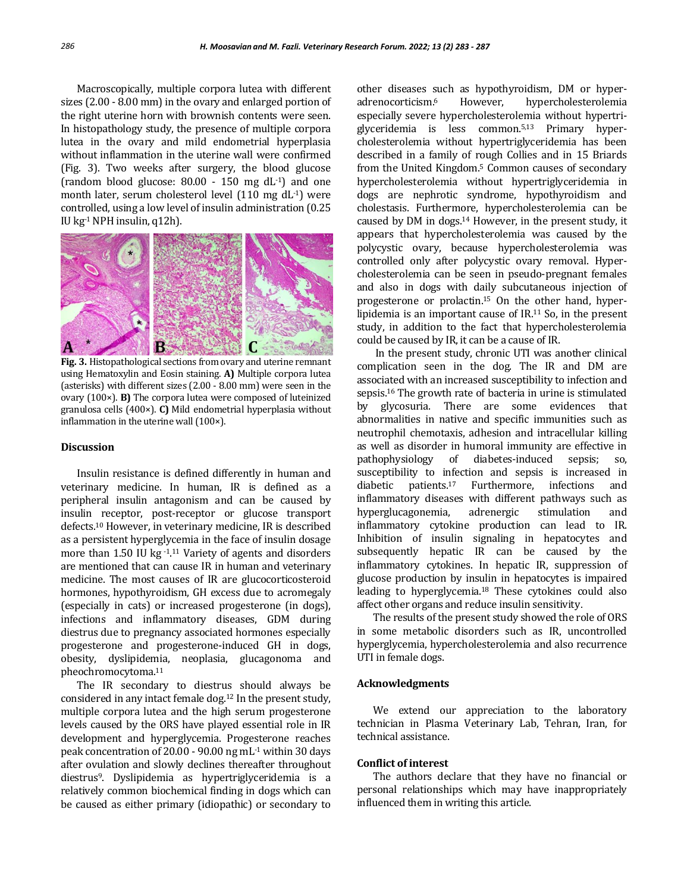Macroscopically, multiple corpora lutea with different sizes (2.00 - 8.00 mm) in the ovary and enlarged portion of the right uterine horn with brownish contents were seen. In histopathology study, the presence of multiple corpora lutea in the ovary and mild endometrial hyperplasia without inflammation in the uterine wall were confirmed (Fig. 3). Two weeks after surgery, the blood glucose (random blood glucose:  $80.00 - 150$  mg dL<sup>-1</sup>) and one month later, serum cholesterol level (110 mg dL-1) were controlled, using a low level of insulin administration (0.25 IU kg $^{-1}$  NPH insulin, q12h).



**Fig. 3.** Histopathological sections from ovary and uterine remnant using Hematoxylin and Eosin staining. **A)** Multiple corpora lutea (asterisks) with different sizes (2.00 - 8.00 mm) were seen in the ovary (100×). **B)** The corpora lutea were composed of luteinized granulosa cells (400×). **C)** Mild endometrial hyperplasia without inflammation in the uterine wall (100×).

# **Discussion**

Insulin resistance is defined differently in human and veterinary medicine. In human, IR is defined as a peripheral insulin antagonism and can be caused by insulin receptor, post-receptor or glucose transport defects.<sup>10</sup> However, in veterinary medicine, IR is described as a persistent hyperglycemia in the face of insulin dosage more than  $1.50$  IU kg $^{-1.11}$  Variety of agents and disorders are mentioned that can cause IR in human and veterinary medicine. The most causes of IR are glucocorticosteroid hormones, hypothyroidism, GH excess due to acromegaly (especially in cats) or increased progesterone (in dogs), infections and inflammatory diseases, GDM during diestrus due to pregnancy associated hormones especially progesterone and progesterone-induced GH in dogs, obesity, dyslipidemia, neoplasia, glucagonoma and pheochromocytoma.<sup>11</sup>

The IR secondary to diestrus should always be considered in any intact female dog.<sup>12</sup> In the present study, multiple corpora lutea and the high serum progesterone levels caused by the ORS have played essential role in IR development and hyperglycemia. Progesterone reaches peak concentration of 20.00 - 90.00 ng mL-1 within 30 days after ovulation and slowly declines thereafter throughout diestrus9. Dyslipidemia as hypertriglyceridemia is a relatively common biochemical finding in dogs which can be caused as either primary (idiopathic) or secondary to

other diseases such as hypothyroidism, DM or hyperadrenocorticism. However, hypercholesterolemia especially severe hypercholesterolemia without hypertriglyceridemia is less common.5,13 Primary hypercholesterolemia without hypertriglyceridemia has been described in a family of rough Collies and in 15 Briards from the United Kingdom.<sup>5</sup> Common causes of secondary hypercholesterolemia without hypertriglyceridemia in dogs are nephrotic syndrome, hypothyroidism and cholestasis. Furthermore, hypercholesterolemia can be caused by DM in dogs.<sup>14</sup> However, in the present study, it appears that hypercholesterolemia was caused by the polycystic ovary, because hypercholesterolemia was controlled only after polycystic ovary removal. Hypercholesterolemia can be seen in pseudo-pregnant females and also in dogs with daily subcutaneous injection of progesterone or prolactin.<sup>15</sup> On the other hand, hyperlipidemia is an important cause of IR.<sup>11</sup> So, in the present study, in addition to the fact that hypercholesterolemia could be caused by IR, it can be a cause of IR.

In the present study, chronic UTI was another clinical complication seen in the dog. The IR and DM are associated with an increased susceptibility to infection and sepsis.<sup>16</sup> The growth rate of bacteria in urine is stimulated by glycosuria. There are some evidences that abnormalities in native and specific immunities such as neutrophil chemotaxis, adhesion and intracellular killing as well as disorder in humoral immunity are effective in pathophysiology of diabetes-induced sepsis; so, susceptibility to infection and sepsis is increased in diabetic patients.<sup>17</sup> Furthermore, infections and inflammatory diseases with different pathways such as hyperglucagonemia, adrenergic stimulation and inflammatory cytokine production can lead to IR. Inhibition of insulin signaling in hepatocytes and subsequently hepatic IR can be caused by the inflammatory cytokines. In hepatic IR, suppression of glucose production by insulin in hepatocytes is impaired leading to hyperglycemia.<sup>18</sup> These cytokines could also affect other organs and reduce insulin sensitivity.

The results of the present study showed the role of ORS in some metabolic disorders such as IR, uncontrolled hyperglycemia, hypercholesterolemia and also recurrence UTI in female dogs.

#### **Acknowledgments**

We extend our appreciation to the laboratory technician in Plasma Veterinary Lab, Tehran, Iran, for technical assistance.

### **Conflict of interest**

The authors declare that they have no financial or personal relationships which may have inappropriately influenced them in writing this article.